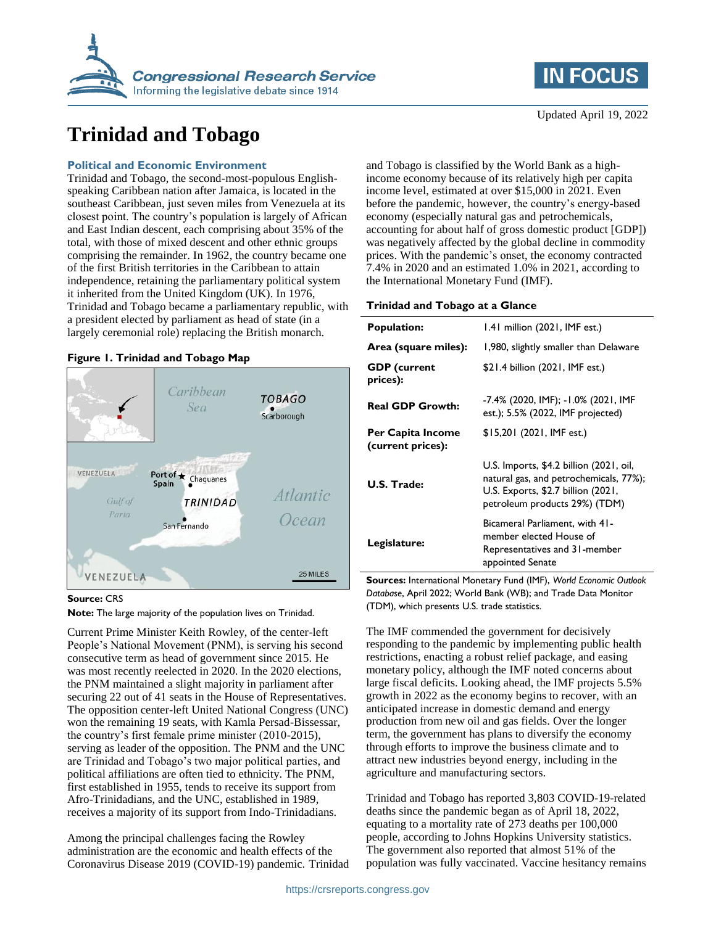

# **Trinidad and Tobago**

## **Political and Economic Environment**

Trinidad and Tobago, the second-most-populous Englishspeaking Caribbean nation after Jamaica, is located in the southeast Caribbean, just seven miles from Venezuela at its closest point. The country's population is largely of African and East Indian descent, each comprising about 35% of the total, with those of mixed descent and other ethnic groups comprising the remainder. In 1962, the country became one of the first British territories in the Caribbean to attain independence, retaining the parliamentary political system it inherited from the United Kingdom (UK). In 1976, Trinidad and Tobago became a parliamentary republic, with a president elected by parliament as head of state (in a largely ceremonial role) replacing the British monarch.

## **Figure 1. Trinidad and Tobago Map**



#### **Source:** CRS

**Note:** The large majority of the population lives on Trinidad.

Current Prime Minister Keith Rowley, of the center-left People's National Movement (PNM), is serving his second consecutive term as head of government since 2015. He was most recently reelected in 2020. In the 2020 elections, the PNM maintained a slight majority in parliament after securing 22 out of 41 seats in the House of Representatives. The opposition center-left United National Congress (UNC) won the remaining 19 seats, with Kamla Persad-Bissessar, the country's first female prime minister (2010-2015), serving as leader of the opposition. The PNM and the UNC are Trinidad and Tobago's two major political parties, and political affiliations are often tied to ethnicity. The PNM, first established in 1955, tends to receive its support from Afro-Trinidadians, and the UNC, established in 1989, receives a majority of its support from Indo-Trinidadians.

Among the principal challenges facing the Rowley administration are the economic and health effects of the Coronavirus Disease 2019 (COVID-19) pandemic. Trinidad



and Tobago is classified by the World Bank as a highincome economy because of its relatively high per capita income level, estimated at over \$15,000 in 2021. Even before the pandemic, however, the country's energy-based economy (especially natural gas and petrochemicals, accounting for about half of gross domestic product [GDP]) was negatively affected by the global decline in commodity prices. With the pandemic's onset, the economy contracted 7.4% in 2020 and an estimated 1.0% in 2021, according to the International Monetary Fund (IMF).

#### **Trinidad and Tobago at a Glance**

| <b>Population:</b>                     | 1.41 million (2021, IMF est.)                                                                                                                            |
|----------------------------------------|----------------------------------------------------------------------------------------------------------------------------------------------------------|
| Area (square miles):                   | 1,980, slightly smaller than Delaware                                                                                                                    |
| <b>GDP</b> (current<br>prices):        | \$21.4 billion (2021, IMF est.)                                                                                                                          |
| <b>Real GDP Growth:</b>                | -7.4% (2020, IMF); -1.0% (2021, IMF<br>est.); 5.5% (2022, IMF projected)                                                                                 |
| Per Capita Income<br>(current prices): | \$15,201 (2021, IMF est.)                                                                                                                                |
| U.S. Trade:                            | U.S. Imports, \$4.2 billion (2021, oil,<br>natural gas, and petrochemicals, 77%);<br>U.S. Exports, \$2.7 billion (2021,<br>petroleum products 29%) (TDM) |
| Legislature:                           | Bicameral Parliament, with 41-<br>member elected House of<br>Representatives and 31-member<br>appointed Senate                                           |

**Sources:** International Monetary Fund (IMF), *World Economic Outlook Database*, April 2022; World Bank (WB); and Trade Data Monitor (TDM), which presents U.S. trade statistics.

The IMF commended the government for decisively responding to the pandemic by implementing public health restrictions, enacting a robust relief package, and easing monetary policy, although the IMF noted concerns about large fiscal deficits. Looking ahead, the IMF projects 5.5% growth in 2022 as the economy begins to recover, with an anticipated increase in domestic demand and energy production from new oil and gas fields. Over the longer term, the government has plans to diversify the economy through efforts to improve the business climate and to attract new industries beyond energy, including in the agriculture and manufacturing sectors.

Trinidad and Tobago has reported 3,803 COVID-19-related deaths since the pandemic began as of April 18, 2022, equating to a mortality rate of 273 deaths per 100,000 people, according to Johns Hopkins University statistics. The government also reported that almost 51% of the population was fully vaccinated. Vaccine hesitancy remains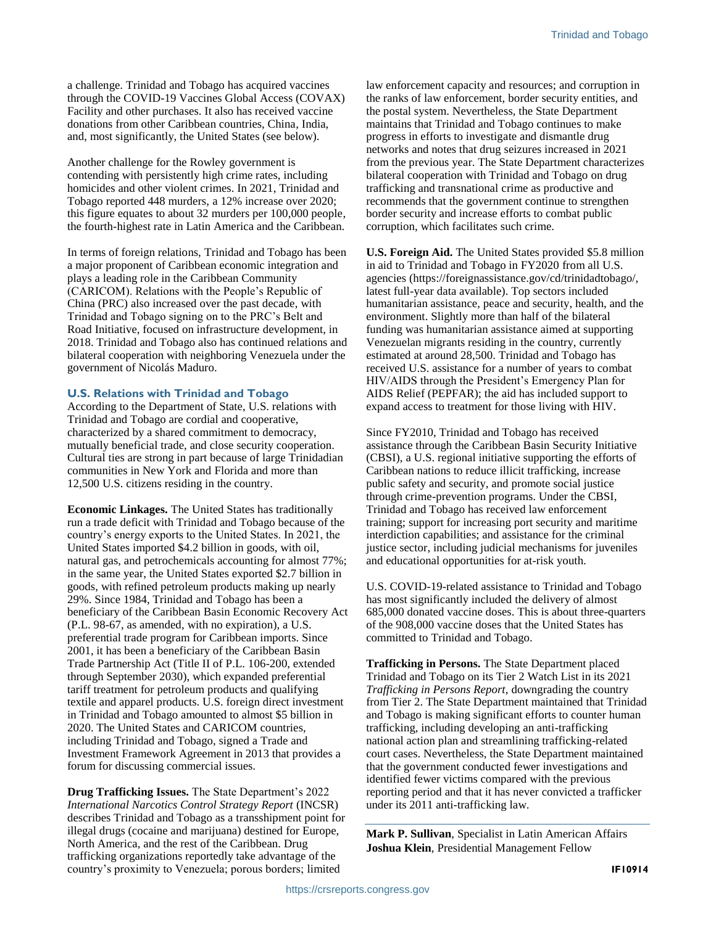a challenge. Trinidad and Tobago has acquired vaccines through the COVID-19 Vaccines Global Access (COVAX) Facility and other purchases. It also has received vaccine donations from other Caribbean countries, China, India, and, most significantly, the United States (see below).

Another challenge for the Rowley government is contending with persistently high crime rates, including homicides and other violent crimes. In 2021, Trinidad and Tobago reported 448 murders, a 12% increase over 2020; this figure equates to about 32 murders per 100,000 people, the fourth-highest rate in Latin America and the Caribbean.

In terms of foreign relations, Trinidad and Tobago has been a major proponent of Caribbean economic integration and plays a leading role in the Caribbean Community (CARICOM). Relations with the People's Republic of China (PRC) also increased over the past decade, with Trinidad and Tobago signing on to the PRC's Belt and Road Initiative, focused on infrastructure development, in 2018. Trinidad and Tobago also has continued relations and bilateral cooperation with neighboring Venezuela under the government of Nicolás Maduro.

#### **U.S. Relations with Trinidad and Tobago**

According to the Department of State, U.S. relations with Trinidad and Tobago are cordial and cooperative, characterized by a shared commitment to democracy, mutually beneficial trade, and close security cooperation. Cultural ties are strong in part because of large Trinidadian communities in New York and Florida and more than 12,500 U.S. citizens residing in the country.

**Economic Linkages.** The United States has traditionally run a trade deficit with Trinidad and Tobago because of the country's energy exports to the United States. In 2021, the United States imported \$4.2 billion in goods, with oil, natural gas, and petrochemicals accounting for almost 77%; in the same year, the United States exported \$2.7 billion in goods, with refined petroleum products making up nearly 29%. Since 1984, Trinidad and Tobago has been a beneficiary of the Caribbean Basin Economic Recovery Act (P.L. 98-67, as amended, with no expiration), a U.S. preferential trade program for Caribbean imports. Since 2001, it has been a beneficiary of the Caribbean Basin Trade Partnership Act (Title II of P.L. 106-200, extended through September 2030), which expanded preferential tariff treatment for petroleum products and qualifying textile and apparel products. U.S. foreign direct investment in Trinidad and Tobago amounted to almost \$5 billion in 2020. The United States and CARICOM countries, including Trinidad and Tobago, signed a Trade and Investment Framework Agreement in 2013 that provides a forum for discussing commercial issues.

**Drug Trafficking Issues.** The State Department's 2022 *International Narcotics Control Strategy Report* (INCSR) describes Trinidad and Tobago as a transshipment point for illegal drugs (cocaine and marijuana) destined for Europe, North America, and the rest of the Caribbean. Drug trafficking organizations reportedly take advantage of the country's proximity to Venezuela; porous borders; limited

law enforcement capacity and resources; and corruption in the ranks of law enforcement, border security entities, and the postal system. Nevertheless, the State Department maintains that Trinidad and Tobago continues to make progress in efforts to investigate and dismantle drug networks and notes that drug seizures increased in 2021 from the previous year. The State Department characterizes bilateral cooperation with Trinidad and Tobago on drug trafficking and transnational crime as productive and recommends that the government continue to strengthen border security and increase efforts to combat public corruption, which facilitates such crime.

**U.S. Foreign Aid.** The United States provided \$5.8 million in aid to Trinidad and Tobago in FY2020 from all U.S. agencies (https://foreignassistance.gov/cd/trinidadtobago/, latest full-year data available). Top sectors included humanitarian assistance, peace and security, health, and the environment. Slightly more than half of the bilateral funding was humanitarian assistance aimed at supporting Venezuelan migrants residing in the country, currently estimated at around 28,500. Trinidad and Tobago has received U.S. assistance for a number of years to combat HIV/AIDS through the President's Emergency Plan for AIDS Relief (PEPFAR); the aid has included support to expand access to treatment for those living with HIV.

Since FY2010, Trinidad and Tobago has received assistance through the Caribbean Basin Security Initiative (CBSI), a U.S. regional initiative supporting the efforts of Caribbean nations to reduce illicit trafficking, increase public safety and security, and promote social justice through crime-prevention programs. Under the CBSI, Trinidad and Tobago has received law enforcement training; support for increasing port security and maritime interdiction capabilities; and assistance for the criminal justice sector, including judicial mechanisms for juveniles and educational opportunities for at-risk youth.

U.S. COVID-19-related assistance to Trinidad and Tobago has most significantly included the delivery of almost 685,000 donated vaccine doses. This is about three-quarters of the 908,000 vaccine doses that the United States has committed to Trinidad and Tobago.

**Trafficking in Persons.** The State Department placed Trinidad and Tobago on its Tier 2 Watch List in its 2021 *Trafficking in Persons Report*, downgrading the country from Tier 2. The State Department maintained that Trinidad and Tobago is making significant efforts to counter human trafficking, including developing an anti-trafficking national action plan and streamlining trafficking-related court cases. Nevertheless, the State Department maintained that the government conducted fewer investigations and identified fewer victims compared with the previous reporting period and that it has never convicted a trafficker under its 2011 anti-trafficking law.

**Mark P. Sullivan**, Specialist in Latin American Affairs **Joshua Klein**, Presidential Management Fellow